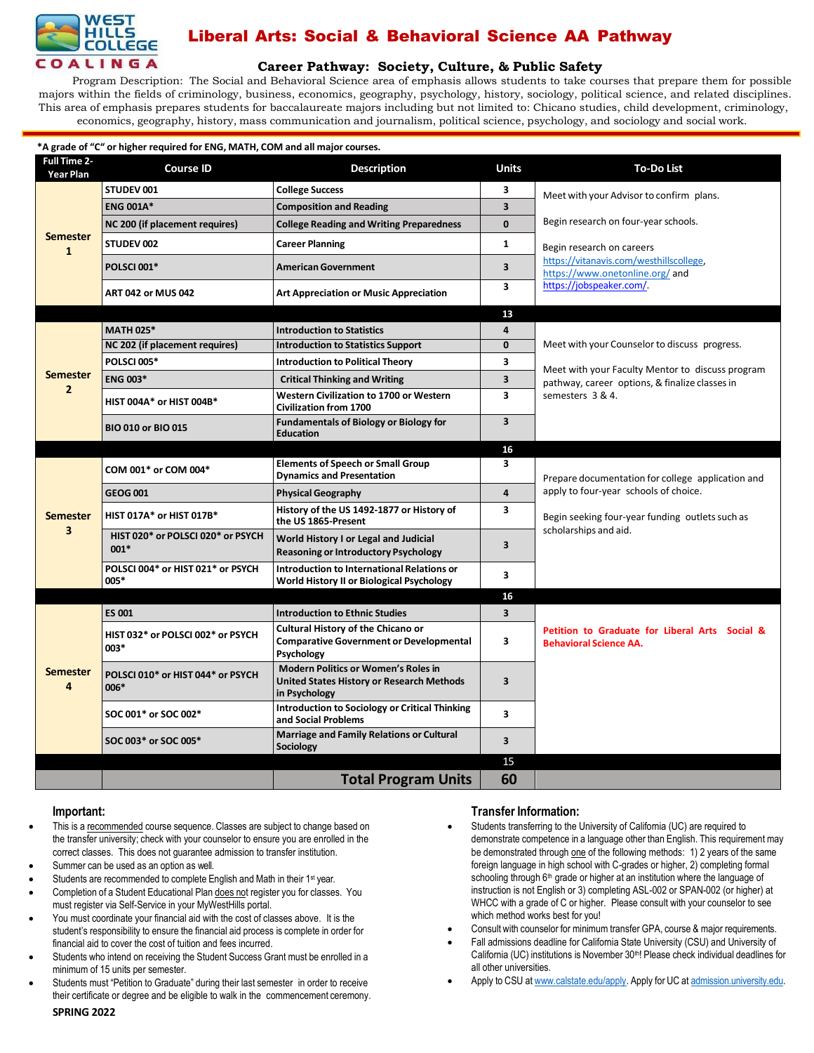

# Liberal Arts: Social & Behavioral Science AA Pathway

## **Career [Pathway:](http://www.broward.edu/academics/programs/Pages/social-behavioral-sciences-human-services-SBSHS.aspx) Society, Culture, & Public Safety**

Program Description: The Social and Behavioral Science area of emphasis allows students to take courses that prepare them for possible majors within the fields of criminology, business, economics, geography, psychology, history, sociology, political science, and related disciplines. This area of emphasis prepares students for baccalaureate majors including but not limited to: Chicano studies, child development, criminology, economics, geography, history, mass communication and journalism, political science, psychology, and sociology and social work.

| *A grade of "C" or higher required for ENG, MATH, COM and all major courses. |                                             |                                                                                                    |                         |                                                                                                    |  |  |  |
|------------------------------------------------------------------------------|---------------------------------------------|----------------------------------------------------------------------------------------------------|-------------------------|----------------------------------------------------------------------------------------------------|--|--|--|
| <b>Full Time 2-</b><br>Year Plan                                             | <b>Course ID</b>                            | <b>Description</b>                                                                                 | <b>Units</b>            | <b>To-Do List</b>                                                                                  |  |  |  |
| <b>Semester</b><br>$\mathbf{1}$                                              | STUDEV 001                                  | <b>College Success</b>                                                                             | 3                       | Meet with your Advisor to confirm plans.                                                           |  |  |  |
|                                                                              | <b>ENG 001A*</b>                            | <b>Composition and Reading</b>                                                                     | 3                       |                                                                                                    |  |  |  |
|                                                                              | NC 200 (if placement requires)              | <b>College Reading and Writing Preparedness</b>                                                    | $\mathbf{0}$            | Begin research on four-year schools.                                                               |  |  |  |
|                                                                              | STUDEV 002                                  | <b>Career Planning</b>                                                                             | 1                       | Begin research on careers                                                                          |  |  |  |
|                                                                              | <b>POLSCI 001*</b>                          | <b>American Government</b>                                                                         | 3                       | https://vitanavis.com/westhillscollege,<br>https://www.onetonline.org/and                          |  |  |  |
|                                                                              | <b>ART 042 or MUS 042</b>                   | <b>Art Appreciation or Music Appreciation</b>                                                      | $\overline{\mathbf{3}}$ | https://jobspeaker.com/.                                                                           |  |  |  |
|                                                                              |                                             |                                                                                                    | 13                      |                                                                                                    |  |  |  |
| <b>Semester</b><br>$\overline{2}$                                            | <b>MATH 025*</b>                            | <b>Introduction to Statistics</b>                                                                  | 4                       |                                                                                                    |  |  |  |
|                                                                              | NC 202 (if placement requires)              | <b>Introduction to Statistics Support</b>                                                          | 0                       | Meet with your Counselor to discuss progress.                                                      |  |  |  |
|                                                                              | <b>POLSCI 005*</b>                          | <b>Introduction to Political Theory</b>                                                            | 3                       |                                                                                                    |  |  |  |
|                                                                              | <b>ENG 003*</b>                             | <b>Critical Thinking and Writing</b>                                                               | 3                       | Meet with your Faculty Mentor to discuss program<br>pathway, career options, & finalize classes in |  |  |  |
|                                                                              | HIST 004A* or HIST 004B*                    | Western Civilization to 1700 or Western<br><b>Civilization from 1700</b>                           | $\overline{\mathbf{3}}$ | semesters 3 & 4.                                                                                   |  |  |  |
|                                                                              | <b>BIO 010 or BIO 015</b>                   | <b>Fundamentals of Biology or Biology for</b><br><b>Education</b>                                  | 3                       |                                                                                                    |  |  |  |
|                                                                              |                                             |                                                                                                    | 16                      |                                                                                                    |  |  |  |
|                                                                              | COM 001* or COM 004*                        | <b>Elements of Speech or Small Group</b><br><b>Dynamics and Presentation</b>                       | 3                       | Prepare documentation for college application and                                                  |  |  |  |
|                                                                              | <b>GEOG 001</b>                             | <b>Physical Geography</b>                                                                          | $\overline{4}$          | apply to four-year schools of choice.                                                              |  |  |  |
| <b>Semester</b><br>$\overline{\mathbf{3}}$                                   | HIST 017A* or HIST 017B*                    | History of the US 1492-1877 or History of<br>the US 1865-Present                                   | 3                       | Begin seeking four-year funding outlets such as                                                    |  |  |  |
|                                                                              | HIST 020* or POLSCI 020* or PSYCH<br>$001*$ | World History I or Legal and Judicial<br><b>Reasoning or Introductory Psychology</b>               | 3                       | scholarships and aid.                                                                              |  |  |  |
|                                                                              | POLSCI 004* or HIST 021* or PSYCH<br>005*   | Introduction to International Relations or<br>World History II or Biological Psychology            | 3                       |                                                                                                    |  |  |  |
|                                                                              |                                             |                                                                                                    | 16                      |                                                                                                    |  |  |  |
| <b>Semester</b><br>4                                                         | <b>ES 001</b>                               | <b>Introduction to Ethnic Studies</b>                                                              | $\overline{\mathbf{3}}$ |                                                                                                    |  |  |  |
|                                                                              | HIST 032* or POLSCI 002* or PSYCH<br>003*   | Cultural History of the Chicano or<br><b>Comparative Government or Developmental</b><br>Psychology | $\overline{\mathbf{3}}$ | Petition to Graduate for Liberal Arts Social &<br><b>Behavioral Science AA.</b>                    |  |  |  |
|                                                                              | POLSCI 010* or HIST 044* or PSYCH<br>006*   | Modern Politics or Women's Roles in<br>United States History or Research Methods<br>in Psychology  | 3                       |                                                                                                    |  |  |  |
|                                                                              | SOC 001* or SOC 002*                        | <b>Introduction to Sociology or Critical Thinking</b><br>and Social Problems                       | 3                       |                                                                                                    |  |  |  |
|                                                                              | SOC 003* or SOC 005*                        | Marriage and Family Relations or Cultural<br>Sociology                                             | $\overline{\mathbf{3}}$ |                                                                                                    |  |  |  |
|                                                                              |                                             |                                                                                                    | 15                      |                                                                                                    |  |  |  |
|                                                                              |                                             | <b>Total Program Units</b>                                                                         | 60                      |                                                                                                    |  |  |  |

### **Important:**

- This is a recommended course sequence. Classes are subject to change based on the transfer university; check with your counselor to ensure you are enrolled in the correct classes. This does not guarantee admission to transfer institution.
- Summer can be used as an option as well.
- Students are recommended to complete English and Math in their 1<sup>st</sup> year.
- Completion of a Student Educational Plan does not register you for classes. You must register via Self-Service in your MyWestHills portal.
- You must coordinate your financial aid with the cost of classes above. It is the student's responsibility to ensure the financial aid process is complete in order for financial aid to cover the cost of tuition and fees incurred.
- Students who intend on receiving the Student Success Grant must be enrolled in a minimum of 15 units per semester.
- Students must "Petition to Graduate" during their last semester in order to receive their certificate or degree and be eligible to walk in the commencement ceremony.

#### **Transfer Information:**

- Students transferring to the University of California (UC) are required to demonstrate competence in a language other than English. This requirement may be demonstrated through one of the following methods: 1) 2 years of the same foreign language in high school with C-grades or higher, 2) completing formal schooling through 6<sup>th</sup> grade or higher at an institution where the language of instruction is not English or 3) completing ASL-002 or SPAN-002 (or higher) at WHCC with a grade of C or higher. Please consult with your counselor to see which method works best for you!
- Consult with counselor for minimum transfer GPA, course & major requirements.
- Fall admissions deadline for California State University (CSU) and University of California (UC) institutions is November 30th! Please check individual deadlines for all other universities.
- Apply to CSU at [www.calstate.edu/apply.](http://www.calstate.edu/apply) Apply for UC at [admission.university.edu.](http://www.apply.universityofcalifornia.edu/)

**SPRING 2022**